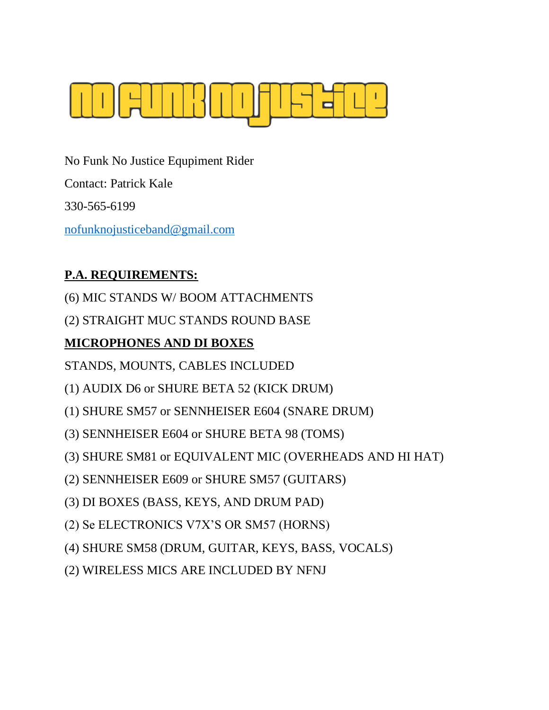

No Funk No Justice Equpiment Rider Contact: Patrick Kale 330-565-6199 [nofunknojusticeband@gmail.com](mailto:nofunknojusticeband@gmail.com)

# **P.A. REQUIREMENTS:**

- (6) MIC STANDS W/ BOOM ATTACHMENTS
- (2) STRAIGHT MUC STANDS ROUND BASE

# **MICROPHONES AND DI BOXES**

- STANDS, MOUNTS, CABLES INCLUDED
- (1) AUDIX D6 or SHURE BETA 52 (KICK DRUM)
- (1) SHURE SM57 or SENNHEISER E604 (SNARE DRUM)
- (3) SENNHEISER E604 or SHURE BETA 98 (TOMS)
- (3) SHURE SM81 or EQUIVALENT MIC (OVERHEADS AND HI HAT)
- (2) SENNHEISER E609 or SHURE SM57 (GUITARS)
- (3) DI BOXES (BASS, KEYS, AND DRUM PAD)
- (2) Se ELECTRONICS V7X'S OR SM57 (HORNS)
- (4) SHURE SM58 (DRUM, GUITAR, KEYS, BASS, VOCALS)
- (2) WIRELESS MICS ARE INCLUDED BY NFNJ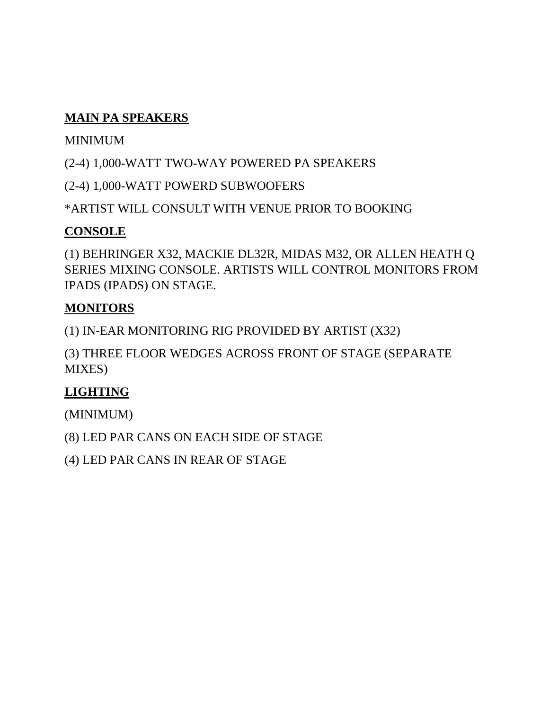## **MAIN PA SPEAKERS**

### MINIMUM

(2-4) 1,000-WATT TWO-WAY POWERED PA SPEAKERS

(2-4) 1,000-WATT POWERD SUBWOOFERS

\*ARTIST WILL CONSULT WITH VENUE PRIOR TO BOOKING

## **CONSOLE**

(1) BEHRINGER X32, MACKIE DL32R, MIDAS M32, OR ALLEN HEATH Q SERIES MIXING CONSOLE. ARTISTS WILL CONTROL MONITORS FROM IPADS (IPADS) ON STAGE.

## **MONITORS**

(1) IN-EAR MONITORING RIG PROVIDED BY ARTIST (X32)

(3) THREE FLOOR WEDGES ACROSS FRONT OF STAGE (SEPARATE MIXES)

## **LIGHTING**

(MINIMUM)

(8) LED PAR CANS ON EACH SIDE OF STAGE

(4) LED PAR CANS IN REAR OF STAGE